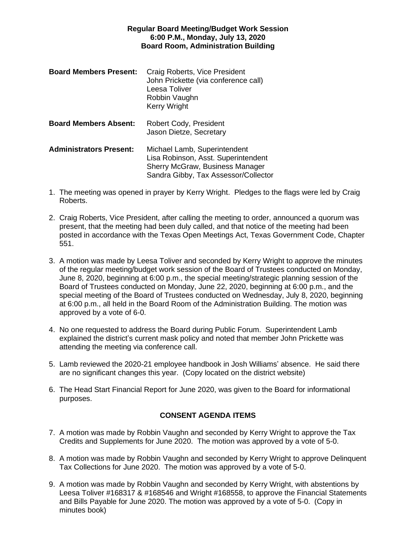### **Regular Board Meeting/Budget Work Session 6:00 P.M., Monday, July 13, 2020 Board Room, Administration Building**

| <b>Board Members Present:</b>  | Craig Roberts, Vice President<br>John Prickette (via conference call)<br>Leesa Toliver<br>Robbin Vaughn<br><b>Kerry Wright</b> |
|--------------------------------|--------------------------------------------------------------------------------------------------------------------------------|
| <b>Board Members Absent:</b>   | Robert Cody, President<br>Jason Dietze, Secretary                                                                              |
| <b>Administrators Present:</b> | Michael Lamb, Superintendent<br>Lisa Robinson, Asst. Superintendent<br><b>Sherry McGraw, Business Manager</b>                  |

1. The meeting was opened in prayer by Kerry Wright. Pledges to the flags were led by Craig Roberts.

Sandra Gibby, Tax Assessor/Collector

- 2. Craig Roberts, Vice President, after calling the meeting to order, announced a quorum was present, that the meeting had been duly called, and that notice of the meeting had been posted in accordance with the Texas Open Meetings Act, Texas Government Code, Chapter 551.
- 3. A motion was made by Leesa Toliver and seconded by Kerry Wright to approve the minutes of the regular meeting/budget work session of the Board of Trustees conducted on Monday, June 8, 2020, beginning at 6:00 p.m., the special meeting/strategic planning session of the Board of Trustees conducted on Monday, June 22, 2020, beginning at 6:00 p.m., and the special meeting of the Board of Trustees conducted on Wednesday, July 8, 2020, beginning at 6:00 p.m., all held in the Board Room of the Administration Building. The motion was approved by a vote of 6-0.
- 4. No one requested to address the Board during Public Forum. Superintendent Lamb explained the district's current mask policy and noted that member John Prickette was attending the meeting via conference call.
- 5. Lamb reviewed the 2020-21 employee handbook in Josh Williams' absence. He said there are no significant changes this year. (Copy located on the district website)
- 6. The Head Start Financial Report for June 2020, was given to the Board for informational purposes.

# **CONSENT AGENDA ITEMS**

- 7. A motion was made by Robbin Vaughn and seconded by Kerry Wright to approve the Tax Credits and Supplements for June 2020. The motion was approved by a vote of 5-0.
- 8. A motion was made by Robbin Vaughn and seconded by Kerry Wright to approve Delinquent Tax Collections for June 2020. The motion was approved by a vote of 5-0.
- 9. A motion was made by Robbin Vaughn and seconded by Kerry Wright, with abstentions by Leesa Toliver #168317 & #168546 and Wright #168558, to approve the Financial Statements and Bills Payable for June 2020. The motion was approved by a vote of 5-0. (Copy in minutes book)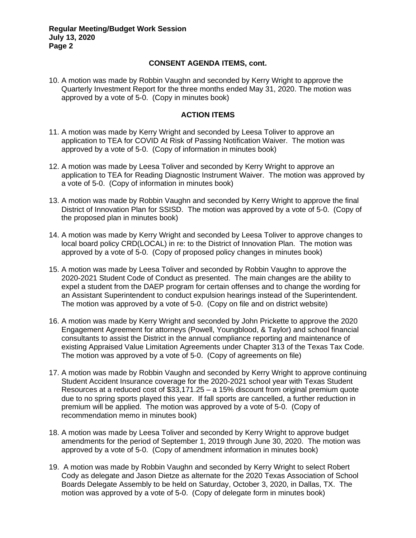### **CONSENT AGENDA ITEMS, cont.**

10. A motion was made by Robbin Vaughn and seconded by Kerry Wright to approve the Quarterly Investment Report for the three months ended May 31, 2020. The motion was approved by a vote of 5-0. (Copy in minutes book)

#### **ACTION ITEMS**

- 11. A motion was made by Kerry Wright and seconded by Leesa Toliver to approve an application to TEA for COVID At Risk of Passing Notification Waiver. The motion was approved by a vote of 5-0. (Copy of information in minutes book)
- 12. A motion was made by Leesa Toliver and seconded by Kerry Wright to approve an application to TEA for Reading Diagnostic Instrument Waiver. The motion was approved by a vote of 5-0. (Copy of information in minutes book)
- 13. A motion was made by Robbin Vaughn and seconded by Kerry Wright to approve the final District of Innovation Plan for SSISD. The motion was approved by a vote of 5-0. (Copy of the proposed plan in minutes book)
- 14. A motion was made by Kerry Wright and seconded by Leesa Toliver to approve changes to local board policy CRD(LOCAL) in re: to the District of Innovation Plan. The motion was approved by a vote of 5-0. (Copy of proposed policy changes in minutes book)
- 15. A motion was made by Leesa Toliver and seconded by Robbin Vaughn to approve the 2020-2021 Student Code of Conduct as presented. The main changes are the ability to expel a student from the DAEP program for certain offenses and to change the wording for an Assistant Superintendent to conduct expulsion hearings instead of the Superintendent. The motion was approved by a vote of 5-0. (Copy on file and on district website)
- 16. A motion was made by Kerry Wright and seconded by John Prickette to approve the 2020 Engagement Agreement for attorneys (Powell, Youngblood, & Taylor) and school financial consultants to assist the District in the annual compliance reporting and maintenance of existing Appraised Value Limitation Agreements under Chapter 313 of the Texas Tax Code. The motion was approved by a vote of 5-0. (Copy of agreements on file)
- 17. A motion was made by Robbin Vaughn and seconded by Kerry Wright to approve continuing Student Accident Insurance coverage for the 2020-2021 school year with Texas Student Resources at a reduced cost of \$33,171.25 – a 15% discount from original premium quote due to no spring sports played this year. If fall sports are cancelled, a further reduction in premium will be applied. The motion was approved by a vote of 5-0. (Copy of recommendation memo in minutes book)
- 18. A motion was made by Leesa Toliver and seconded by Kerry Wright to approve budget amendments for the period of September 1, 2019 through June 30, 2020. The motion was approved by a vote of 5-0. (Copy of amendment information in minutes book)
- 19. A motion was made by Robbin Vaughn and seconded by Kerry Wright to select Robert Cody as delegate and Jason Dietze as alternate for the 2020 Texas Association of School Boards Delegate Assembly to be held on Saturday, October 3, 2020, in Dallas, TX. The motion was approved by a vote of 5-0. (Copy of delegate form in minutes book)